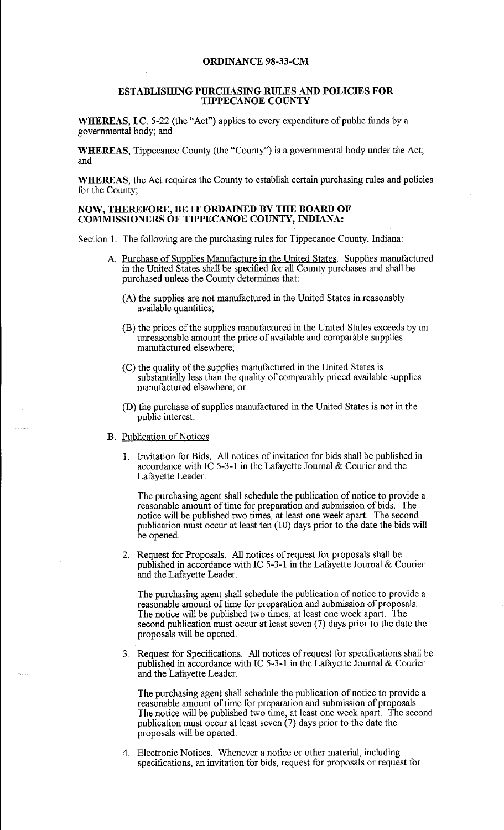## **ORDINANCE 98-33-CM**

## **ESTABLISHING PURCHASING RULES AND POLICIES FOR TIPPECANOE COUNTY**

**WHEREAS,** LC. 5-22 (the "Act") applies to every expenditure of public funds by a governmental body; and

**WHEREAS,** Tippecanoe County (the "County") is a governmental body under the Act; and

**WHEREAS,** the Act requires the County to establish certain purchasing rules and policies for the County;

## **NOW, THEREFORE, BE IT ORDAINED BY THE BOARD OF COMMISSIONERS OF TIPPECANOE COUNTY, INDIANA:**

Section 1. The following are the purchasing rules for Tippecanoe County, Indiana:

- A. Purchase of Supplies Manufacture in the United States. Supplies manufactured in the United States shall be specified for all County purchases and shall be purchased unless the County determines that:
	- (A) the supplies are not manufactured in the United States in reasonably available quantities;
	- (B) the prices of the supplies manufactured in the United States exceeds by an unreasonable amount the price of available and comparable supplies manufactured elsewhere;
	- (C) the quality of the supplies manufactured in the United States is substantially less than the quality of comparably priced available supplies manufactured elsewhere; or
	- (D) the purchase of supplies manufactured in the United States is not in the public interest.
- B. Publication of Notices
	- 1. Invitation for Bids. All notices of invitation for bids shall be published in accordance with IC 5-3-1 in the Lafayette Journal & Courier and the Lafayette Leader.

The purchasing agent shall schedule the publication of notice to provide a reasonable amount of time for preparation and submission of bids. The notice will be published two times, at least one week apart. The second publication must occur at least ten (10) days prior to the date the bids will be opened.

2. Request for Proposals. All notices of request for proposals shall be published in accordance with IC 5-3-1 in the Lafayette Journal & Courier and the Lafayette Leader.

The purchasing agent shall schedule the publication of notice to provide a reasonable amount of time for preparation and submission of proposals. The notice will be published two times, at least one week apart. The second publication must occur at least seven (7) days prior to the date the proposals will be opened.

3. Request for Specifications. All notices of request for specifications shall be published in accordance with IC 5-3-1 in the Lafayette Journal & Courier and the Lafayette Leader.

The purchasing agent shall schedule the publication of notice to provide a reasonable amount of time for preparation and submission of proposals. The notice will be published two time, at least one week apart. The second publication must occur at least seven (7) days prior to the date the proposals will be opened.

4. Electronic Notices. Whenever a notice or other material, including specifications, an invitation for bids, request for proposals or request for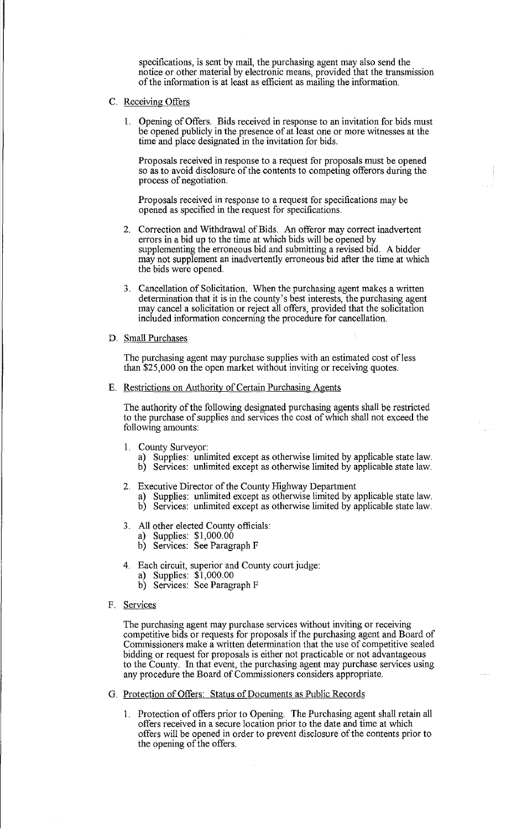specifications, is sent by mail, the purchasing agent may also send the notice or other material by electronic means, provided that the transmission of the information is at least as efficient as mailing the information.

- C. Receiving Offers
	- 1. Opening of Offers. Bids received in response to an invitation for bids must be opened publicly in the presence of at least one or more witnesses at the time and place designated in the invitation for bids.

Proposals received in response to a request for proposals must be opened so as to avoid disclosure of the contents to competing offerors during the process of negotiation.

Proposals received in response to a request for specifications may be opened as specified in the request for specifications.

- 2. Correction and Withdrawal of Bids. An offeror may correct inadvertent errors in a bid up to the time at which bids will be opened by supplementing the erroneous bid and submitting a revised bid. A bidder may not supplement an inadvertently erroneous bid after the time at which the bids were opened.
- 3. Cancellation of Solicitation. When the purchasing agent makes a written determination that it is in the county's best interests, the purchasing agent may cancel a solicitation or reject all offers, provided that the solicitation included information concerning the procedure for cancellation.
- D. Small Purchases

The purchasing agent may purchase supplies with an estimated cost of less than \$25,000 on the open market without inviting or receiving quotes.

E. Restrictions on Authority of Certain Purchasing Agents

The authority of the following designated purchasing agents shall be restricted to the purchase of supplies and services the cost of which shall not exceed the following amounts:

- 1. County Surveyor:
	- a) Supplies: unlimited except as otherwise limited by applicable state law. b) Services: unlimited except as otherwise limited by applicable state law.
- 2. Executive Director of the County Highway Department
	- a) Supplies: unlimited except as otherwise limited by applicable state law.
	- b) Services: unlimited except as otherwise limited by applicable state law.
- 3. All other elected County officials:
	- a) Supplies: \$1,000.00
	- b) Services: See Paragraph F
- 4. Each circuit, superior and County court judge:
	- a) Supplies: \$1,000.00
	- b) Services: See Paragraph F
- F. Services

The purchasing agent may purchase services without inviting or receiving competitive bids or requests for proposals if the purchasing agent and Board of Commissioners make a written determination that the use of competitive sealed bidding or request for proposals is either not practicable or not advantageous to the County. In that event, the purchasing agent may purchase services using any procedure the Board of Commissioners considers appropriate.

- G. Protection of Offers: Status of Documents as Public Records
	- 1. Protection of offers prior to Opening. The Purchasing agent shall retain all offers received in a secure location prior to the date and time at which offers will be opened in order to prevent disclosure of the contents prior to the opening of the offers.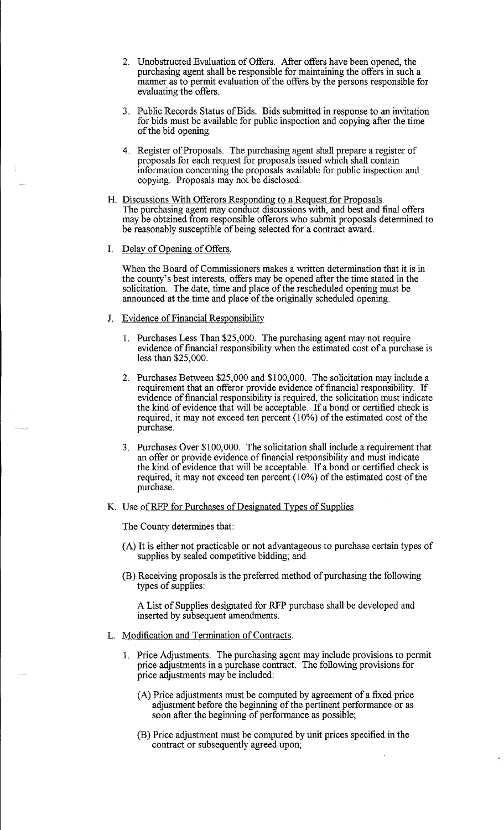- 2. Unobstructed Evaluation of Offers. After offers have been opened, the purchasing agent shall be responsible for maintaining the offers in such a manner as to permit evaluation of the offers by the persons responsible for evaluating the offers.
- 3. Public Records Status of Bids. Bids submitted in response to an invitation for bids must be available for public inspection and copying after the time of the bid opening.
- 4. Register of Proposals. The purchasing agent shall prepare a register of proposals for each request for proposals issued which shall contain information concerning the proposals available for public inspection and copying. Proposals may not be disclosed.
- H. Discussions With Offerors Responding to a Request for Proposals. The purchasing agent may conduct discussions with, and best and final offers may be obtained from responsible offerors who submit proposals determined to be reasonably susceptible of being selected for a contract award.
- I. Delay of Opening of Offers.

When the Board of Commissioners makes a written determination that it is in the county's best interests, offers may be opened after the time stated in the solicitation. The date, time and place of the rescheduled opening must be announced at the time and place of the originally scheduled opening.

- J. Evidence of Financial Responsibility
	- 1. Purchases Less Than \$25,000. The purchasing agent may not require evidence of financial responsibility when the estimated cost of a purchase is less than \$25,000.
	- 2. Purchases Between \$25,000 and \$100,000. The solicitation may include a requirement that an offeror provide evidence of financial responsibility. If evidence of financial responsibility is required, the solicitation must indicate the kind of evidence that will be acceptable. If a bond or certified check is required, it may not exceed ten percent (10%) of the estimated cost of the purchase.
	- 3. Purchases Over \$100,000. The solicitation shall include a requirement that an offer or provide evidence of financial responsibility and must indicate the kind of evidence that will be acceptable. If a bond or certified check is required, it may not exceed ten percent ( 10%) of the estimated cost of the purchase.
- K. Use of RFP for Purchases of Designated Types of Supplies

The County determines that:

- (A) It is either not practicable or not advantageous to purchase certain types of supplies by sealed competitive bidding; and
- (B) Receiving proposals is the preferred method of purchasing the following types of supplies:

A List of Supplies designated for RFP purchase shall be developed and inserted by subsequent amendments.

- L. Modification and Termination of Contracts.
	- 1. Price Adjustments. The purchasing agent may include provisions to permit price adjustments in a purchase contract. The following provisions for price adjustments may be included:
		- (A) Price adjustments must be computed by agreement of a fixed price adjustment before the beginning of the pertinent performance or as soon after the beginning of performance as possible;
		- (B) Price adjustment must be computed by unit prices specified in the contract or subsequently agreed upon;